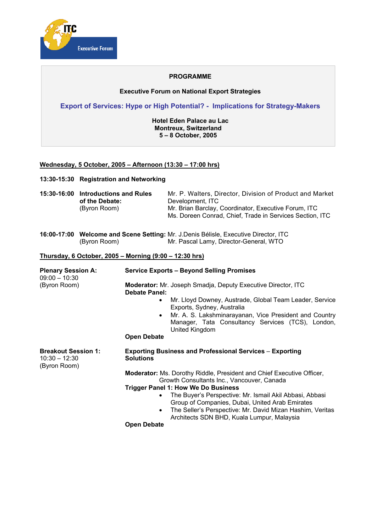

### **PROGRAMME**

### **Executive Forum on National Export Strategies**

**Export of Services: Hype or High Potential? - Implications for Strategy-Makers**

**Hotel Eden Palace au Lac Montreux, Switzerland 5 – 8 October, 2005** 

### **Wednesday, 5 October, 2005 – Afternoon (13:30 – 17:00 hrs)**

**13:30-15:30 Registration and Networking** 

| 15:30-16:00 Introductions and Rules | Mr. P. Walters. Director. Division of Product and Market |
|-------------------------------------|----------------------------------------------------------|
| of the Debate:                      | Development. ITC                                         |
| (Byron Room)                        | Mr. Brian Barclay, Coordinator, Executive Forum, ITC     |
|                                     | Ms. Doreen Conrad, Chief, Trade in Services Section, ITC |

|              | <b>16:00-17:00 Welcome and Scene Setting:</b> Mr. J.Denis Bélisle, Executive Director, ITC |
|--------------|--------------------------------------------------------------------------------------------|
| (Byron Room) | Mr. Pascal Lamy, Director-General, WTO                                                     |

#### **Thursday, 6 October, 2005 – Morning (9:00 – 12:30 hrs)**

| <b>Plenary Session A:</b><br>$09:00 - 10:30$                  | <b>Service Exports - Beyond Selling Promises</b>                                                                                                                                                                                                                                                                      |
|---------------------------------------------------------------|-----------------------------------------------------------------------------------------------------------------------------------------------------------------------------------------------------------------------------------------------------------------------------------------------------------------------|
| (Byron Room)                                                  | <b>Moderator:</b> Mr. Joseph Smadja, Deputy Executive Director, ITC<br><b>Debate Panel:</b><br>Mr. Lloyd Downey, Austrade, Global Team Leader, Service<br>$\bullet$<br>Exports, Sydney, Australia<br>Mr. A. S. Lakshminarayanan, Vice President and Country<br>٠<br>Manager, Tata Consultancy Services (TCS), London, |
|                                                               | United Kingdom<br><b>Open Debate</b>                                                                                                                                                                                                                                                                                  |
| <b>Breakout Session 1:</b><br>$10:30 - 12:30$<br>(Byron Room) | <b>Exporting Business and Professional Services - Exporting</b><br><b>Solutions</b>                                                                                                                                                                                                                                   |
|                                                               | <b>Moderator:</b> Ms. Dorothy Riddle, President and Chief Executive Officer,<br>Growth Consultants Inc., Vancouver, Canada                                                                                                                                                                                            |
|                                                               | <b>Trigger Panel 1: How We Do Business</b>                                                                                                                                                                                                                                                                            |
|                                                               | The Buyer's Perspective: Mr. Ismail Akil Abbasi, Abbasi<br>$\bullet$<br>Group of Companies, Dubai, United Arab Emirates<br>The Seller's Perspective: Mr. David Mizan Hashim, Veritas<br>$\bullet$<br>Architects SDN BHD, Kuala Lumpur, Malaysia                                                                       |
|                                                               | <b>Open Debate</b>                                                                                                                                                                                                                                                                                                    |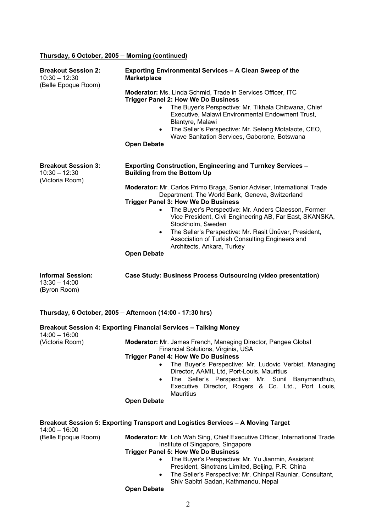## **Thursday, 6 October, 2005** – **Morning (continued)**

| <b>Breakout Session 2:</b><br>$10:30 - 12:30$<br>(Belle Epoque Room) | Exporting Environmental Services - A Clean Sweep of the<br><b>Marketplace</b>                                                                                                                                                                                                                                                                                                                                                                                                                               |
|----------------------------------------------------------------------|-------------------------------------------------------------------------------------------------------------------------------------------------------------------------------------------------------------------------------------------------------------------------------------------------------------------------------------------------------------------------------------------------------------------------------------------------------------------------------------------------------------|
|                                                                      | <b>Moderator:</b> Ms. Linda Schmid, Trade in Services Officer, ITC<br><b>Trigger Panel 2: How We Do Business</b><br>The Buyer's Perspective: Mr. Tikhala Chibwana, Chief<br>$\bullet$<br>Executive, Malawi Environmental Endowment Trust,<br>Blantyre, Malawi<br>The Seller's Perspective: Mr. Seteng Motalaote, CEO,<br>$\bullet$<br>Wave Sanitation Services, Gaborone, Botswana<br><b>Open Debate</b>                                                                                                    |
| <b>Breakout Session 3:</b><br>$10:30 - 12:30$<br>(Victoria Room)     | <b>Exporting Construction, Engineering and Turnkey Services -</b><br><b>Building from the Bottom Up</b>                                                                                                                                                                                                                                                                                                                                                                                                     |
|                                                                      | Moderator: Mr. Carlos Primo Braga, Senior Adviser, International Trade<br>Department, The World Bank, Geneva, Switzerland<br><b>Trigger Panel 3: How We Do Business</b><br>The Buyer's Perspective: Mr. Anders Claesson, Former<br>$\bullet$<br>Vice President, Civil Engineering AB, Far East, SKANSKA,<br>Stockholm, Sweden<br>The Seller's Perspective: Mr. Rasit Ünüvar, President,<br>$\bullet$<br>Association of Turkish Consulting Engineers and<br>Architects, Ankara, Turkey<br><b>Open Debate</b> |
| <b>Informal Session:</b><br>$13:30 - 14:00$<br>(Byron Room)          | Case Study: Business Process Outsourcing (video presentation)                                                                                                                                                                                                                                                                                                                                                                                                                                               |
|                                                                      | Thursday, 6 October, 2005 - Afternoon (14:00 - 17:30 hrs)                                                                                                                                                                                                                                                                                                                                                                                                                                                   |
| $14:00 - 16:00$                                                      | Breakout Session 4: Exporting Financial Services - Talking Money                                                                                                                                                                                                                                                                                                                                                                                                                                            |
| (Victoria Room)                                                      | Moderator: Mr. James French, Managing Director, Pangea Global<br>Financial Solutions, Virginia, USA<br><b>Trigger Panel 4: How We Do Business</b><br>The Buyer's Perspective: Mr. Ludovic Verbist, Managing<br>$\bullet$<br>Director, AAMIL Ltd, Port-Louis, Mauritius<br>The Seller's Perspective: Mr. Sunil Banymandhub,<br>٠<br>Executive Director, Rogers & Co. Ltd., Port Louis,<br><b>Mauritius</b>                                                                                                   |
|                                                                      | <b>Open Debate</b>                                                                                                                                                                                                                                                                                                                                                                                                                                                                                          |
| $14:00 - 16:00$                                                      | Breakout Session 5: Exporting Transport and Logistics Services - A Moving Target                                                                                                                                                                                                                                                                                                                                                                                                                            |
| (Belle Epoque Room)                                                  | Moderator: Mr. Loh Wah Sing, Chief Executive Officer, International Trade<br>Institute of Singapore, Singapore<br><b>Trigger Panel 5: How We Do Business</b><br>The Buyer's Perspective: Mr. Yu Jianmin, Assistant<br>$\bullet$<br>President, Sinotrans Limited, Beijing, P.R. China<br>The Seller's Perspective: Mr. Chinpal Rauniar, Consultant,<br>$\bullet$<br>Shiv Sabitri Sadan, Kathmandu, Nepal<br><b>Open Debate</b>                                                                               |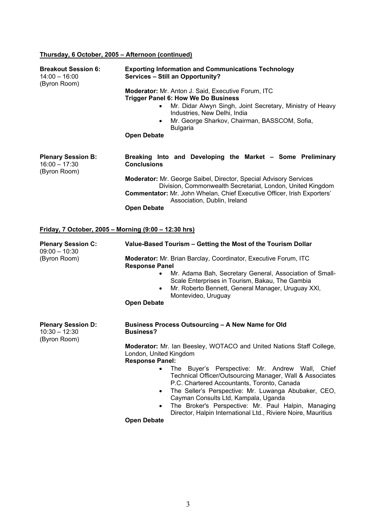# **Thursday, 6 October, 2005 – Afternoon (continued)**

| <b>Breakout Session 6:</b><br>$14:00 - 16:00$<br>(Byron Room) | <b>Exporting Information and Communications Technology</b><br>Services - Still an Opportunity?                                                                                                                                                                                                                                                                                                                                                  |
|---------------------------------------------------------------|-------------------------------------------------------------------------------------------------------------------------------------------------------------------------------------------------------------------------------------------------------------------------------------------------------------------------------------------------------------------------------------------------------------------------------------------------|
|                                                               | Moderator: Mr. Anton J. Said, Executive Forum, ITC<br><b>Trigger Panel 6: How We Do Business</b><br>Mr. Didar Alwyn Singh, Joint Secretary, Ministry of Heavy<br>Industries, New Delhi, India<br>Mr. George Sharkov, Chairman, BASSCOM, Sofia,<br>$\bullet$<br><b>Bulgaria</b><br><b>Open Debate</b>                                                                                                                                            |
| <b>Plenary Session B:</b><br>$16:00 - 17:30$<br>(Byron Room)  | Breaking Into and Developing the Market - Some Preliminary<br><b>Conclusions</b><br>Moderator: Mr. George Saibel, Director, Special Advisory Services<br>Division, Commonwealth Secretariat, London, United Kingdom<br>Commentator: Mr. John Whelan, Chief Executive Officer, Irish Exporters'<br>Association, Dublin, Ireland<br><b>Open Debate</b>                                                                                            |
| <u>Friday, 7 October, 2005 – Morning (9:00 – 12:30 hrs)</u>   |                                                                                                                                                                                                                                                                                                                                                                                                                                                 |
| <b>Plenary Session C:</b><br>$09:00 - 10:30$                  | Value-Based Tourism - Getting the Most of the Tourism Dollar                                                                                                                                                                                                                                                                                                                                                                                    |
| (Byron Room)                                                  | Moderator: Mr. Brian Barclay, Coordinator, Executive Forum, ITC<br><b>Response Panel</b><br>Mr. Adama Bah, Secretary General, Association of Small-<br>$\bullet$<br>Scale Enterprises in Tourism, Bakau, The Gambia<br>Mr. Roberto Bennett, General Manager, Uruguay XXI,<br>$\bullet$<br>Montevideo, Uruguay<br><b>Open Debate</b>                                                                                                             |
| <b>Plenary Session D:</b><br>$10:30 - 12:30$<br>(Byron Room)  | Business Process Outsourcing - A New Name for Old<br><b>Business?</b>                                                                                                                                                                                                                                                                                                                                                                           |
|                                                               | Moderator: Mr. Ian Beesley, WOTACO and United Nations Staff College,<br>London, United Kingdom<br><b>Response Panel:</b>                                                                                                                                                                                                                                                                                                                        |
|                                                               | The Buyer's Perspective: Mr. Andrew Wall, Chief<br>$\bullet$<br>Technical Officer/Outsourcing Manager, Wall & Associates<br>P.C. Chartered Accountants, Toronto, Canada<br>The Seller's Perspective: Mr. Luwanga Abubaker, CEO,<br>$\bullet$<br>Cayman Consults Ltd, Kampala, Uganda<br>The Broker's Perspective: Mr. Paul Halpin, Managing<br>$\bullet$<br>Director, Halpin International Ltd., Riviere Noire, Mauritius<br><b>Open Debate</b> |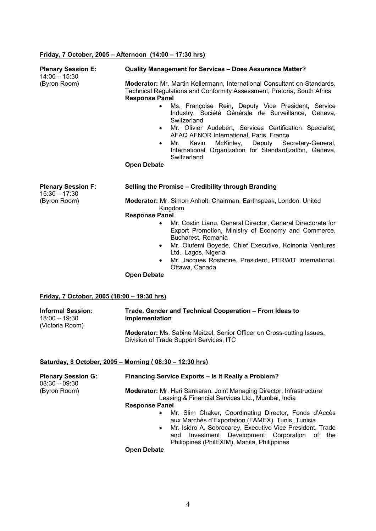# **Friday, 7 October, 2005 – Afternoon (14:00 – 17:30 hrs)**

| <b>Plenary Session E:</b><br>$14:00 - 15:30$            | <b>Quality Management for Services - Does Assurance Matter?</b>                                                                                                                                                                                                                                                                         |  |
|---------------------------------------------------------|-----------------------------------------------------------------------------------------------------------------------------------------------------------------------------------------------------------------------------------------------------------------------------------------------------------------------------------------|--|
| (Byron Room)                                            | Moderator: Mr. Martin Kellermann, International Consultant on Standards,<br>Technical Regulations and Conformity Assessment, Pretoria, South Africa<br><b>Response Panel</b><br>Ms. Françoise Rein, Deputy Vice President, Service<br>$\bullet$<br>Industry, Société Générale de Surveillance, Geneva,<br>Switzerland                   |  |
|                                                         | Mr. Olivier Audebert, Services Certification Specialist,<br>$\bullet$<br>AFAQ AFNOR International, Paris, France<br>McKinley, Deputy Secretary-General,<br>Mr.<br>Kevin<br>$\bullet$<br>International Organization for Standardization, Geneva,<br>Switzerland<br><b>Open Debate</b>                                                    |  |
|                                                         |                                                                                                                                                                                                                                                                                                                                         |  |
| <b>Plenary Session F:</b><br>$15:30 - 17:30$            | Selling the Promise - Credibility through Branding                                                                                                                                                                                                                                                                                      |  |
| (Byron Room)                                            | Moderator: Mr. Simon Anholt, Chairman, Earthspeak, London, United<br>Kingdom                                                                                                                                                                                                                                                            |  |
|                                                         | <b>Response Panel</b><br>Mr. Costin Lianu, General Director, General Directorate for<br>Export Promotion, Ministry of Economy and Commerce,<br>Bucharest, Romania<br>Mr. Olufemi Boyede, Chief Executive, Koinonia Ventures<br>$\bullet$<br>Ltd., Lagos, Nigeria<br>Mr. Jacques Rostenne, President, PERWIT International,<br>$\bullet$ |  |
|                                                         | Ottawa, Canada<br><b>Open Debate</b>                                                                                                                                                                                                                                                                                                    |  |
| Friday, 7 October, 2005 (18:00 - 19:30 hrs)             |                                                                                                                                                                                                                                                                                                                                         |  |
| <b>Informal Session:</b><br>$18:00 - 19:30$             | Trade, Gender and Technical Cooperation - From Ideas to<br>Implementation                                                                                                                                                                                                                                                               |  |
| (Victoria Room)                                         | Moderator: Ms. Sabine Meitzel, Senior Officer on Cross-cutting Issues,<br>Division of Trade Support Services, ITC                                                                                                                                                                                                                       |  |
| Saturday, 8 October, 2005 - Morning (08:30 - 12:30 hrs) |                                                                                                                                                                                                                                                                                                                                         |  |
| <b>Plenary Session G:</b><br>$08:30 - 09:30$            | Financing Service Exports - Is It Really a Problem?                                                                                                                                                                                                                                                                                     |  |
| (Byron Room)                                            | Moderator: Mr. Hari Sankaran, Joint Managing Director, Infrastructure<br>Leasing & Financial Services Ltd., Mumbai, India                                                                                                                                                                                                               |  |
|                                                         | <b>Response Panel</b><br>Mr. Slim Chaker, Coordinating Director, Fonds d'Accès<br>$\bullet$<br>aux Marchés d'Exportation (FAMEX), Tunis, Tunisia<br>Mr. Isidro A. Sobrecarey, Executive Vice President, Trade<br>٠<br>Investment Development Corporation<br>of the<br>and                                                               |  |
|                                                         | Philippines (PhilEXIM), Manila, Philippines<br><b>Open Debate</b>                                                                                                                                                                                                                                                                       |  |